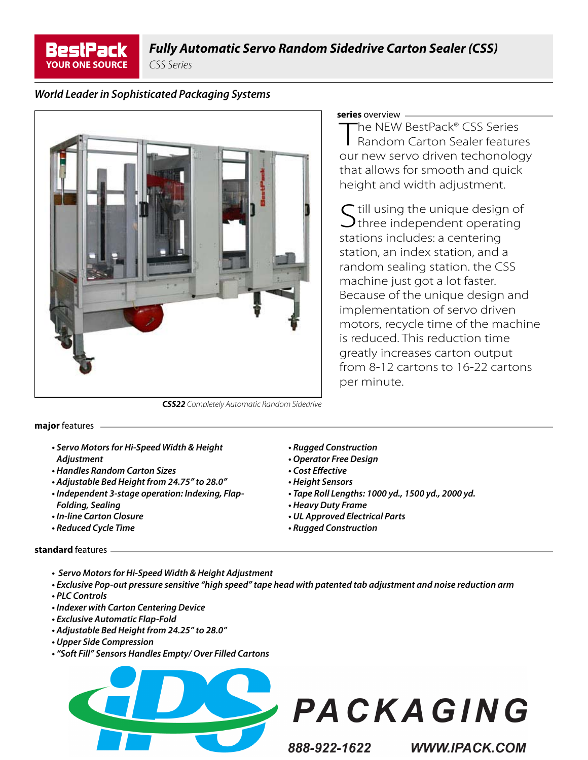**BestPack YOUR ONE SOURCE**

*CSS Series*

## *World Leader in Sophisticated Packaging Systems*



## **series** overview

The NEW BestPack<sup>®</sup> CSS Series Random Carton Sealer features our new servo driven techonology that allows for smooth and quick height and width adjustment.

 $\Gamma$  till using the unique design of  $\bigcup$ three independent operating stations includes: a centering station, an index station, and a random sealing station. the CSS machine just got a lot faster. Because of the unique design and implementation of servo driven motors, recycle time of the machine is reduced. This reduction time greatly increases carton output from 8-12 cartons to 16-22 cartons per minute.

*CSS22 Completely Automatic Random Sidedrive* 

**major** features

- *Servo Motors for Hi-Speed Width & Height Adjustment*
- *Handles Random Carton Sizes*
- *Adjustable Bed Height from 24.75" to 28.0"*
- *Independent 3-stage operation: Indexing, Flap-Folding, Sealing*
- *In-line Carton Closure*
- *Reduced Cycle Time*
- *Rugged Construction*
- *Operator Free Design*
- *Cost Eff ective*
- *Height Sensors*
- *Tape Roll Lengths: 1000 yd., 1500 yd., 2000 yd.*
- *Heavy Duty Frame*
- *UL Approved Electrical Parts*
- *Rugged Construction*

## **standard** features

- *Servo Motors for Hi-Speed Width & Height Adjustment*
- *Exclusive Pop-out pressure sensitive "high speed" tape head with patented tab adjustment and noise reduction arm • PLC Controls*
- *Indexer with Carton Centering Device*
- *Exclusive Automatic Flap-Fold*
- *Adjustable Bed Height from 24.25" to 28.0"*
- *Upper Side Compression*
- *"Soft Fill" Sensors Handles Empty/ Over Filled Cartons*





888-922-1622

**WWW.IPACK.COM**